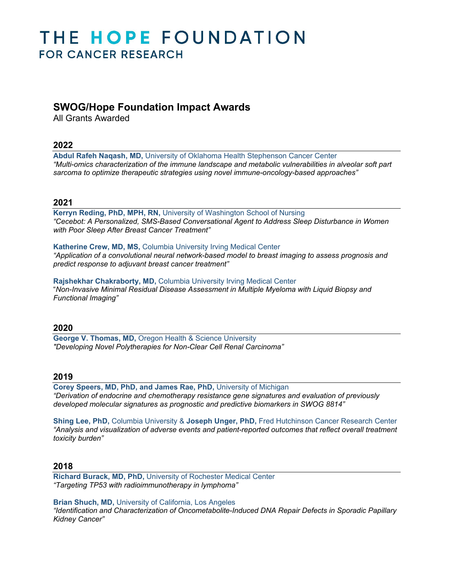# THE HOPE FOUNDATION **FOR CANCER RESEARCH**

## **SWOG/Hope Foundation Impact Awards**

All Grants Awarded

## **2022**

**Abdul Rafeh Naqash, MD,** University of Oklahoma Health Stephenson Cancer Center *"Multi-omics characterization of the immune landscape and metabolic vulnerabilities in alveolar soft part sarcoma to optimize therapeutic strategies using novel immune-oncology-based approaches"*

## **2021**

**Kerryn Reding, PhD, MPH, RN,** University of Washington School of Nursing *"Cecebot: A Personalized, SMS-Based Conversational Agent to Address Sleep Disturbance in Women with Poor Sleep After Breast Cancer Treatment"*

#### **Katherine Crew, MD, MS,** Columbia University Irving Medical Center

*"Application of a convolutional neural network-based model to breast imaging to assess prognosis and predict response to adjuvant breast cancer treatment"*

#### **Rajshekhar Chakraborty, MD,** Columbia University Irving Medical Center "*Non-Invasive Minimal Residual Disease Assessment in Multiple Myeloma with Liquid Biopsy and Functional Imaging"*

## **2020**

**George V. Thomas, MD,** Oregon Health & Science University *"Developing Novel Polytherapies for Non-Clear Cell Renal Carcinoma"*

## **2019**

**Corey Speers, MD, PhD, and James Rae, PhD,** University of Michigan *"Derivation of endocrine and chemotherapy resistance gene signatures and evaluation of previously developed molecular signatures as prognostic and predictive biomarkers in SWOG 8814"*

**Shing Lee, PhD,** Columbia University & **Joseph Unger, PhD,** Fred Hutchinson Cancer Research Center *"Analysis and visualization of adverse events and patient-reported outcomes that reflect overall treatment toxicity burden"*

## **2018**

**Richard Burack, MD, PhD,** University of Rochester Medical Center *"Targeting TP53 with radioimmunotherapy in lymphoma"*

**Brian Shuch, MD,** University of California, Los Angeles *"Identification and Characterization of Oncometabolite-Induced DNA Repair Defects in Sporadic Papillary Kidney Cancer"*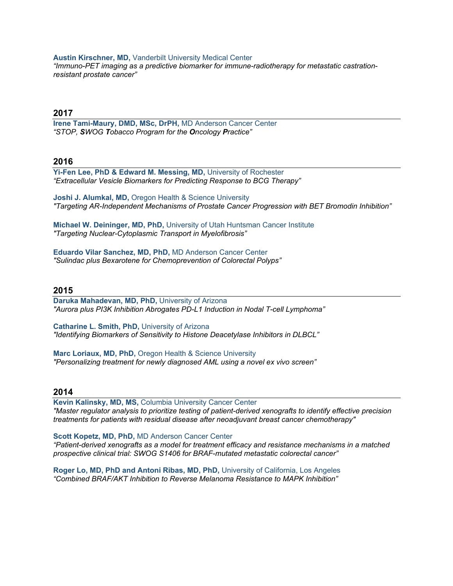#### **Austin Kirschner, MD,** Vanderbilt University Medical Center

*"Immuno-PET imaging as a predictive biomarker for immune-radiotherapy for metastatic castrationresistant prostate cancer"*

#### **2017**

**Irene Tami-Maury, DMD, MSc, DrPH,** MD Anderson Cancer Center *"STOP, SWOG Tobacco Program for the Oncology Practice"*

#### **2016**

**Yi-Fen Lee, PhD & Edward M. Messing, MD,** University of Rochester *"Extracellular Vesicle Biomarkers for Predicting Response to BCG Therapy"*

**Joshi J. Alumkal, MD,** Oregon Health & Science University *"Targeting AR-Independent Mechanisms of Prostate Cancer Progression with BET Bromodin Inhibition"*

**Michael W. Deininger, MD, PhD,** University of Utah Huntsman Cancer Institute *"Targeting Nuclear-Cytoplasmic Transport in Myelofibrosis"*

**Eduardo Vilar Sanchez, MD, PhD,** MD Anderson Cancer Center *"Sulindac plus Bexarotene for Chemoprevention of Colorectal Polyps"*

#### **2015**

**Daruka Mahadevan, MD, PhD,** University of Arizona *"Aurora plus PI3K Inhibition Abrogates PD-L1 Induction in Nodal T-cell Lymphoma"*

**Catharine L. Smith, PhD,** University of Arizona *"Identifying Biomarkers of Sensitivity to Histone Deacetylase Inhibitors in DLBCL"*

**Marc Loriaux, MD, PhD,** Oregon Health & Science University *"Personalizing treatment for newly diagnosed AML using a novel ex vivo screen"*

#### **2014**

**Kevin Kalinsky, MD, MS,** Columbia University Cancer Center *"Master regulator analysis to prioritize testing of patient-derived xenografts to identify effective precision treatments for patients with residual disease after neoadjuvant breast cancer chemotherapy"*

**Scott Kopetz, MD, PhD,** MD Anderson Cancer Center

*"Patient-derived xenografts as a model for treatment efficacy and resistance mechanisms in a matched prospective clinical trial: SWOG S1406 for BRAF-mutated metastatic colorectal cancer"*

**Roger Lo, MD, PhD and Antoni Ribas, MD, PhD,** University of California, Los Angeles *"Combined BRAF/AKT Inhibition to Reverse Melanoma Resistance to MAPK Inhibition"*